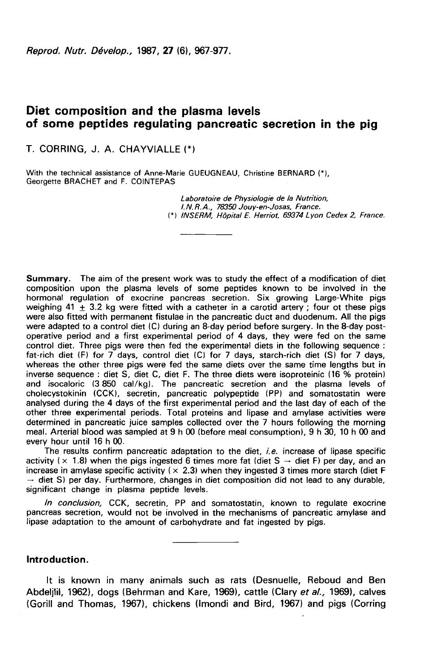Reprod. Nutr. Dévelop., 1987, 27 (6), 967-977.

# Diet composition and the plasma levels of some peptides regulating pancreatic secretion in the pig

T. CORRING, J. A. CHAYVIALLE

With the technical assistance of Anne-Marie GUEUGNEAU. Christine BERNARD (\*). Georgette BRACHET and F. COINTEPAS

> Laboratoire de Physiologie de la Nutrition, 1. N. R.A., 78350 Jouy-en-Josas, France. (\*) INSERM, Hôpital E. Herriot, 69374 Lyon Cedex 2, France.

Summary. The aim of the present work was to study the effect of a modification of diet composition upon the plasma levels of some peptides known to be involved in the hormonal regulation of exocrine pancreas secretion. Six growing Large-White pigs weighing  $41 + 3.2$  kg were fitted with a catheter in a carotid artery; four ot these pigs were also fitted with permanent fistulae in the pancreatic duct and duodenum. All the pigs were adapted to a control diet (C) during an 8-day period before surgery. In the 8-day postoperative period and a first experimental period of 4 days, they were fed on the same control diet. Three pigs were then fed the experimental diets in the following sequence : fat-rich diet (F) for 7 days, control diet (C) for 7 days, starch-rich diet (S) for 7 days, whereas the other three pigs were fed the same diets over the same time lengths but in inverse sequence : diet S, diet C, diet F. The three diets were isoproteinic  $(16\%$  protein) and isocaloric (3 850 cal/kg). The pancreatic secretion and the plasma levels of cholecystokinin (CCK), secretin, pancreatic polypeptide (PP) and somatostatin were analysed during the 4 days of the first experimental period and the last day of each of the other three experimental periods. Total proteins and lipase and amylase activities were determined in pancreatic juice samples collected over the 7 hours following the morning meal. Arterial blood was sampled at 9 h 00 (before meal consumption), 9 h 30, 10 h 00 and every hour until 16 h 00.

The results confirm pancreatic adaptation to the diet, *i.e.* increase of lipase specific activity ( $\times$  1.8) when the pigs ingested 6 times more fat (diet S  $\rightarrow$  diet F) per day, and an increase in amylase specific activity ( $\times$  2.3) when they ingested 3 times more starch (diet F)  $\rightarrow$  diet S) per day. Furthermore, changes in diet composition did not lead to any durable, significant change in plasma peptide levels.

In conclusion, CCK, secretin, PP and somatostatin, known to regulate exocrine pancreas secretion, would not be involved in the mechanisms of pancreatic amylase and lipase adaptation to the amount of carbohydrate and fat ingested by pigs.

## Introduction.

It is known in many animals such as rats (Desnuelle, Reboud and Ben Abdeljlil, 1962), dogs (Behrman and Kare, 1969), cattle (Clary et al., 1969), calves (Gorill and Thomas, 1967), chickens (Imondi and Bird, 1967) and pigs (Corring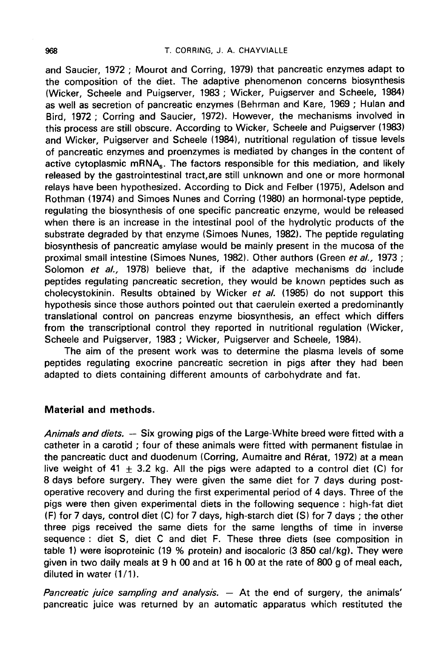#### T. CORRING. J. A. CHAYVIALLE

and Saucier, 1972 ; Mourot and Corring, 1979) that pancreatic enzymes adapt to the composition of the diet. The adaptive phenomenon concerns biosynthesis (Wicker, Scheele and Puigserver, 1983 ; Wicker, Puigserver and Scheele, 1984) as well as secretion of pancreatic enzymes (Behrman and Kare, 1969 ; Hulan and Bird, 1972 ; Corring and Saucier, 1972). However, the mechanisms involved in this process are still obscure. According to Wicker, Scheele and Puigserver (1983) and Wicker, Puigserver and Scheele (1984), nutritional regulation of tissue levels of pancreatic enzymes and proenzymes is mediated by changes in the content of active cytoplasmic mRNA<sub>s</sub>. The factors responsible for this mediation, and likely this process are still obscure. According to Wicker, Scheele and Puigserver (1983) and Wicker, Puigserver and Scheele (1984), nutritional regulation of tissue levels of pancreatic enzymes and proenzymes is mediated by chan released by the gastrointestinal tract,are still unknown and one or more hormonal relays have been hypothesized. According to Dick and Felber (1975), Adelson and Rothman (1974) and Simoes Nunes and Corring (1980) an hormonal-type peptide, regulating the biosynthesis of one specific pancreatic enzyme, would be released when there is an increase in the intestinal pool of the hydrolytic products of the substrate degraded by that enzyme (Simoes Nunes, 1982). The peptide regulating biosynthesis of pancreatic amylase would be mainly present in the mucosa of the proximal small intestine (Simoes Nunes, 1982). Other authors (Green et al., 1973 ; Solomon et al., 1978) believe that, if the adaptive mechanisms do include peptides regulating pancreatic secretion, they would be known peptides such as cholecystokinin. Results obtained by Wicker et al. (1985) do not support this hypothesis since those authors pointed out that caerulein exerted a predominantly translational control on pancreas enzyme biosynthesis, an effect which differs from the transcriptional control they reported in nutritional regulation (Wicker, Scheele and Puigserver, 1983 ; Wicker, Puigserver and Scheele, 1984).

The aim of the present work was to determine the plasma levels of some peptides regulating exocrine pancreatic secretion in pigs after they had been adapted to diets containing different amounts of carbohydrate and fat.

## Material and methods.

Animals and diets.  $-$  Six growing pigs of the Large-White breed were fitted with a catheter in a carotid ; four of these animals were fitted with permanent fistulae in the pancreatic duct and duodenum (Corring, Aumaitre and R6rat, 1972) at a mean live weight of 41  $\pm$  3.2 kg. All the pigs were adapted to a control diet (C) for 8 days before surgery. They were given the same diet for 7 days during postoperative recovery and during the first experimental period of 4 days. Three of the pigs were then given experimental diets in the following sequence : high-fat diet (F) for 7 days, control diet (C) for 7 days, high-starch diet (S) for 7 days ; the other three pigs received the same diets for the same lengths of time in inverse sequence : diet S, diet C and diet F. These three diets (see composition in table 1) were isoproteinic (19 % protein) and isocaloric 13 850 cal/kg). They were given in two daily meals at 9 h 00 and at 16 h 00 at the rate of 800 g of meal each, diluted in water (1/1).

Pancreatic juice sampling and analysis.  $-$  At the end of surgery, the animals' pancreatic juice was returned by an automatic apparatus which restituted the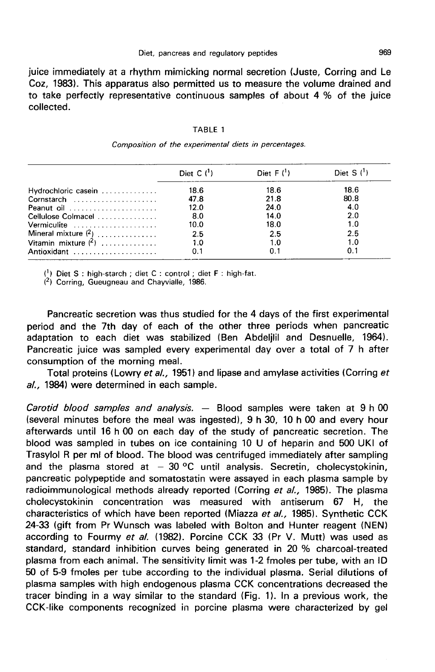juice immediately at a rhythm mimicking normal secretion (Juste, Corring and Le Coz, 1983). This apparatus also permitted us to measure the volume drained and to take perfectly representative continuous samples of about 4 % of the juice collected.

| m<br>- 17 |  |
|-----------|--|
|-----------|--|

|                                                     | Diet C $(^1)$ | Diet $F^{1}$ | Diet $S^{(1)}$ |
|-----------------------------------------------------|---------------|--------------|----------------|
| Hydrochloric casein                                 | 18.6          | 18.6         | 18.6           |
| Cornstarch                                          | 47.8          | 21.8         | 80.8           |
| Peanut oil                                          | 12.0          | 24.0         | 4.0            |
| Cellulose Colmacel                                  | 8.0           | 14.0         | 2.0            |
| Vermiculite                                         | 10.0          | 18.0         | 1.0            |
| Mineral mixture $(2)$ , , , , , , , , , , , , , , , | 2.5           | 2.5          | 2.5            |
| Vitamin mixture $(^2)$                              | 1.0           | 1.0          | 1.0            |
| Antioxidant                                         | 0.1           | 0.1          | 0.1            |

#### Composition of the experimental diets in percentages.

 $(1)$  Diet S : high-starch ; diet C : control ; diet F : high-fat.

<sup>(2)</sup> Corring, Gueugneau and Chayvialle, 1986.

Pancreatic secretion was thus studied for the 4 days of the first experimental period and the 7th day of each of the other three periods when pancreatic adaptation to each diet was stabilized (Ben Abdeljlil and Desnuelle, 1964). Pancreatic juice was sampled every experimental day over a total of 7 h after consumption of the morning meal.

Total proteins (Lowry et al., 1951) and lipase and amylase activities (Corring et al., 1984) were determined in each sample.

Carotid blood samples and analysis.  $-$  Blood samples were taken at 9 h 00 (several minutes before the meal was ingested), 9 h 30, 10 h 00 and every hour afterwards until 16 h 00 on each day of the study of pancreatic secretion. The blood was sampled in tubes on ice containing 10 U of heparin and 500 UKI of Trasylol R per ml of blood. The blood was centrifuged immediately after sampling and the plasma stored at  $-30$  °C until analysis. Secretin, cholecystokinin, pancreatic polypeptide and somatostatin were assayed in each plasma sample by radioimmunological methods already reported (Corring et al., 1985). The plasma cholecystokinin concentration was measured with antiserum 67 H, the characteristics of which have been reported (Miazza et al., 1985). Synthetic CCK 24-33 (gift from Pr Wunsch was labeled with Bolton and Hunter reagent (NEN) according to Fourmy et al. (1982). Porcine CCK 33 (Pr V. Mutt) was used as standard, standard inhibition curves being generated in 20 % charcoal-treated plasma from each animal. The sensitivity limit was 1-2 fmoles per tube, with an ID 50 of 5-9 fmoles per tube according to the individual plasma. Serial dilutions of plasma samples with high endogenous plasma CCK concentrations decreased the tracer binding in a way similar to the standard (Fig. 1). In a previous work, the CCK-like components recognized in porcine plasma were characterized by gel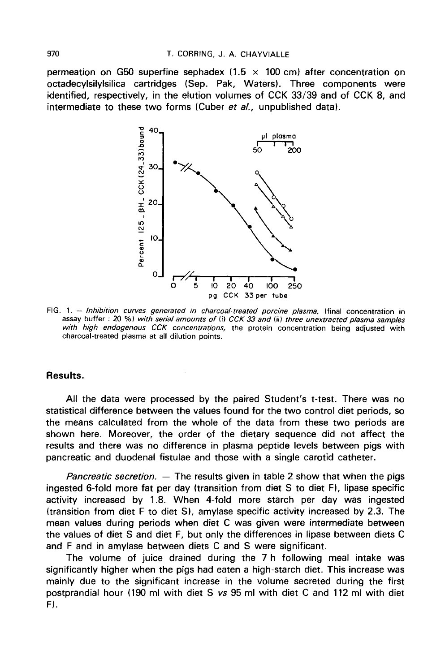permeation on G50 superfine sephadex  $(1.5 \times 100 \text{ cm})$  after concentration on octadecylsilyisilica cartridges (Sep. Pak, Waters). Three components were identified, respectively, in the elution volumes of CCK 33/39 and of CCK 8, and intermediate to these two forms (Cuber et al., unpublished data).



FIG. 1. - Inhibition curves generated in charcoal-treated porcine plasma, (final concentration in assay buffer : 20 %) with serial amounts of (i) CCK 33 and (ii) three unextracted plasma samples with high endogenous CCK concentrations, the protein concentration being adjusted with charcoal-treated plasma at all dilution points.

#### Results.

All the data were processed by the paired Student's t-test. There was no statistical difference between the values found for the two control diet periods, so the means calculated from the whole of the data from these two periods are shown here. Moreover, the order of the dietary sequence did not affect the results and there was no difference in plasma peptide levels between pigs with pancreatic and duodenal fistulae and those with a single carotid catheter.

*Pancreatic secretion.*  $-$  The results given in table 2 show that when the pigs ingested 6-fold more fat per day (transition from diet S to diet F), lipase specific activity increased by 1.8. When 4-fold more starch per day was ingested (transition from diet F to diet S), amylase specific activity increased by 2.3. The mean values during periods when diet C was given were intermediate between the values of diet S and diet F, but only the differences in lipase between diets C and F and in amylase between diets C and S were significant.

The volume of juice drained during the 7 h following meal intake was significantly higher when the pigs had eaten a high-starch diet. This increase was mainly due to the significant increase in the volume secreted during the first postprandial hour (190 ml with diet S vs 95 ml with diet C and 112 ml with diet F).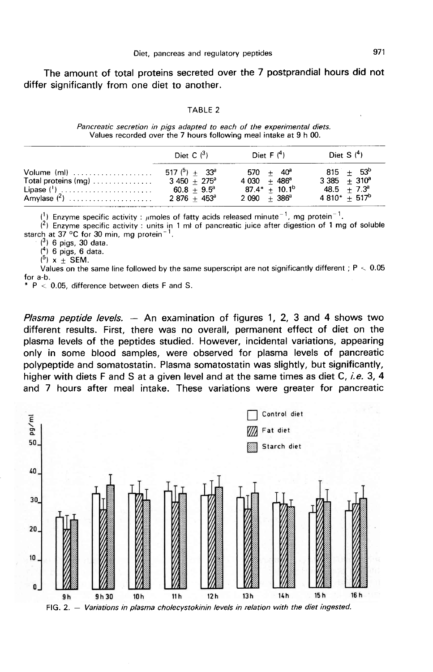The amount of total proteins secreted over the 7 postprandial hours did not differ significantly from one diet to another.

#### TABLE<sub>2</sub>

Pancreatic secretion in pigs adapted to each of the experimental diets. Values recorded over the 7 hours following meal intake at 9 h 00.

|              | Diet C $(3)$                   | Diet F $(^4)$   | Diet S $(^4)$                 |
|--------------|--------------------------------|-----------------|-------------------------------|
| Volume $(m)$ | 517 $(^{5})$ + 33 <sup>a</sup> | $570 + 40^a$    | $815 + 53^{b}$                |
|              | $3\,450 + 275^{\circ}$         | $4030 + 486^a$  | $3.385 + 310^{a}$             |
|              | $60.8 + 9.5^{\circ}$           | $87.4* + 10.1b$ | $48.5 + 7.3^{\circ}$          |
|              | $2876 + 453^{\circ}$           | $2090 + 386^a$  | 4 810* $\pm$ 517 <sup>b</sup> |

<sup>1</sup>) Enzyme specific activity :  $\mu$ moles of fatty acids released minute<sup>-1</sup>, mg protein<sup>-1</sup>.

(2) Enzyme specific activity : units in 1 ml of pancreatic juice after digestion of 1 mg of soluble starch at 37 °C for 30 min, mg protein<sup>-1</sup>.

 $(3)$  6 pigs, 30 data.

 $\binom{4}{2}$  6 pigs, 6 data.

 $(5)$  x  $\pm$  SEM.

Values on the same line followed by the same superscript are not significantly different;  $P < 0.05$ for a-b.

 $P < 0.05$ , difference between diets F and S.

Plasma peptide levels.  $-$  An examination of figures 1, 2, 3 and 4 shows two different results. First, there was no overall, permanent effect of diet on the plasma levels of the peptides studied. However, incidental variations, appearing only in some blood samples, were observed for plasma levels of pancreatic polypeptide and somatostatin. Plasma somatostatin was slightly, but significantly, higher with diets F and S at a given level and at the same times as diet  $C$ , *i.e.* 3, 4 and 7 hours after meal intake. These variations were greater for pancreatic

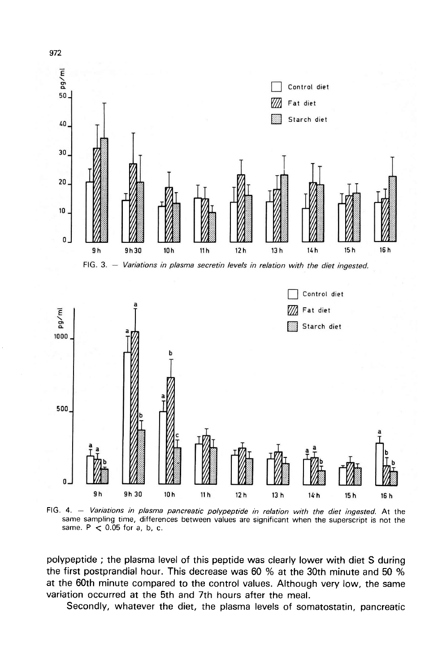

FIG. 4. - Variations in plasma pancreatic polypeptide in relation with the diet ingested. At the same sampling time, differences between values are significant when the superscript is not the same.  $P < 0.05$  for a, b, c.

polypeptide ; the plasma level of this peptide was clearly lower with diet S during the first postprandial hour. This decrease was 60 % at the 30th minute and 50 % at the 60th minute compared to the control values. Although very low, the same variation occurred at the 5th and 7th hours after the meal.

Secondly, whatever the diet, the plasma levels of somatostatin, pancreatic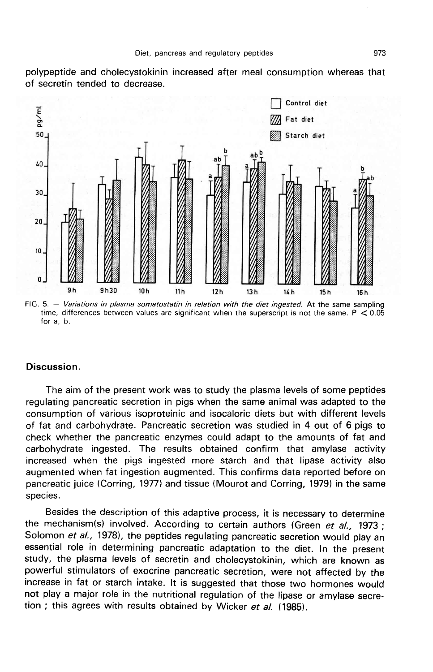polypeptide and cholecystokinin increased after meal consumption whereas that of secretin tended to decrease.



FIG. 5. - Variations in plasma somatostatin in relation with the diet ingested. At the same sampling time, differences between values are significant when the superscript is not the same.  $P < 0.05$ for a, b.

### Discussion.

The aim of the present work was to study the plasma levels of some peptides regulating pancreatic secretion in pigs when the same animal was adapted to the consumption of various isoproteinic and isocaloric diets but with different levels of fat and carbohydrate. Pancreatic secretion was studied in 4 out of 6 pigs to check whether the pancreatic enzymes could adapt to the amounts of fat and carbohydrate ingested. The results obtained confirm that amylase activity increased when the pigs ingested more starch and that lipase activity also augmented when fat ingestion augmented. This confirms data reported before on pancreatic juice (Corring, 1977) and tissue (Mourot and Corring, 1979) in the same species.

Besides the description of this adaptive process, it is necessary to determine the mechanism(s) involved. According to certain authors (Green et al., 1973; Solomon et al., 1978), the peptides regulating pancreatic secretion would play an essential role in determining pancreatic adaptation to the diet. In the present study, the plasma levels of secretin and cholecystokinin, which are known as powerful stimulators of exocrine pancreatic secretion, were not affected by the increase in fat or starch intake. It is suggested that those two hormones would not play a major role in the nutritional regulation of the lipase or amylase secretion ; this agrees with results obtained by Wicker et al. (1985).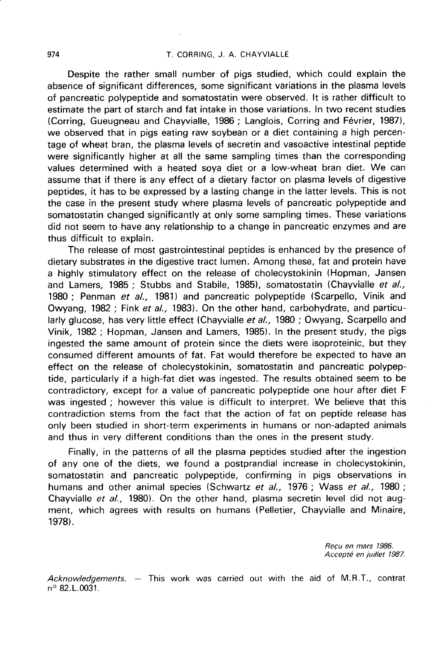Despite the rather small number of pigs studied, which could explain the absence of significant differences, some significant variations in the plasma levels of pancreatic polypeptide and somatostatin were observed. It is rather difficult to estimate the part of starch and fat intake in those variations. In two recent studies (Corring, Gueugneau and Chayvialle, 1986; Langlois, Corring and Février, 1987), we observed that in pigs eating raw soybean or a diet containing a high percentage of wheat bran, the plasma levels of secretin and vasoactive intestinal peptide were significantly higher at all the same sampling times than the corresponding values determined with a heated soya diet or a low-wheat bran diet. We can assume that if there is any effect of a dietary factor on plasma levels of digestive peptides, it has to be expressed by a lasting change in the latter levels. This is not the case in the present study where plasma levels of pancreatic polypeptide and somatostatin changed significantly at only some sampling times. These variations did not seem to have any relationship to a change in pancreatic enzymes and are thus difficult to explain.

The release of most gastrointestinal peptides is enhanced by the presence of dietary substrates in the digestive tract lumen. Among these, fat and protein have a highly stimulatory effect on the release of cholecystokinin (Hopman, Jansen and Lamers, 1985; Stubbs and Stabile, 1985), somatostatin (Chayvialle et al., 1980 ; Penman et al., 1981) and pancreatic polypeptide (Scarpello, Vinik and Owyang, 1982; Fink et al., 1983). On the other hand, carbohydrate, and particularly glucose, has very little effect (Chayvialle et al., 1980; Owyang, Scarpello and Vinik, 1982 ; Hopman, Jansen and Lamers, 1985). In the present study, the pigs ingested the same amount of protein since the diets were isoproteinic, but they consumed different amounts of fat. Fat would therefore be expected to have an effect on the release of cholecystokinin, somatostatin and pancreatic polypeptide, particularly if a high-fat diet was ingested. The results obtained seem to be contradictory, except for a value of pancreatic polypeptide one hour after diet F was ingested ; however this value is difficult to interpret. We believe that this contradiction stems from the fact that the action of fat on peptide release has only been studied in short-term experiments in humans or non-adapted animals and thus in very different conditions than the ones in the present study.

Finally, in the patterns of all the plasma peptides studied after the ingestion of any one of the diets, we found a postprandial increase in cholecystokinin, somatostatin and pancreatic polypeptide, confirming in pigs observations in humans and other animal species (Schwartz et al., 1976; Wass et al., 1980; Chayvialle et  $al.,$  1980). On the other hand, plasma secretin level did not augment, which agrees with results on humans (Pelletier, Chayvialle and Minaire, 1978).

> Recu en mars 1986. Accepte en juillet 1987.

Acknowledgements.  $-$  This work was carried out with the aid of M.R.T., contrat n° 82.L.0031.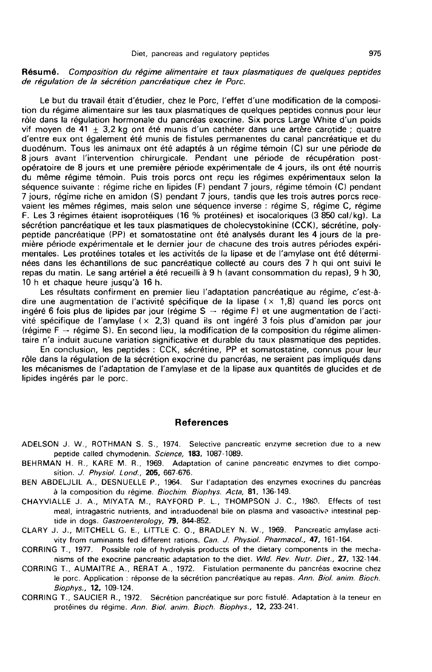#### Résumé. Composition du régime alimentaire et taux plasmatiques de quelques peptides de régulation de la sécrétion pancréatique chez le Porc.

Le but du travail était d'étudier, chez le Porc, l'effet d'une modification de la composition du régime alimentaire sur les taux plasmatiques de quelques peptides connus pour leur rôle dans la régulation hormonale du pancréas exocrine. Six porcs Large White d'un poids vif moyen de 41 ± 3,2 kg ont été munis d'un cathéter dans une artère carotide ; quatre d'entre eux ont également été munis de fistules permanentes du canal pancréatique et du duodénum. Tous les animaux ont été adaptés à un régime témoin (C) sur une période de 8 jours avant l'intervention chirurgicale. Pendant une période de récupération postopératoire de 8 jours et une première période expérimentale de 4 jours, ils ont été nourris du même régime témoin. Puis trois porcs ont reçu les régimes expérimentaux selon la séquence suivante : régime riche en lipides (F) pendant 7 jours, régime témoin (C) pendant 7 jours, régime riche en amidon (S) pendant 7 jours, tandis que les trois autres porcs rece-<br>vaient les mêmes régimes, mais selon une séguence inverse : régime S, régime C, régime F. Les 3 régimes étaient isoprotéiques (16 % protéines) et isocaloriques (3 850 cal/kg). La sécrétion pancréatique et les taux plasmatiques de cholecystokinine (CCK), sécrétine, polypeptide pancréatique (PP) et somatostatine ont été analysés durant les 4 jours de la première période expérimentale et le dernier jour de chacune des trois autres périodes expérimentales. Les protéines totales et les activités de la lipase et de l'amylase ont été déterminées dans les échantillons de suc pancréatique collecté au cours des 7 h qui ont suivi le repas du matin. Le sang artériel a été recueilli à 9 h (avant consommation du repas), 9 h 30, 10 h et chaque heure jusqu'à 16 h.

Les résultats confirment en premier lieu l'adaptation pancréatique au régime, c'est-àdire une augmentation de l'activité spécifique de la lipase ( $\times$  1,8) quand les porcs ont ingéré 6 fois plus de lipides par jour (régime S - régime F) et une augmentation de l'activité spécifique de l'amylase ( $\times$  2.3) quand ils ont ingéré 3 fois plus d'amidon par jour (régime F -- régime S). En second lieu, la modification de la composition du régime alimentaire n'a induit aucune variation significative et durable du taux plasmatique des peptides.

En conclusion, les peptides : CCK, sécrétine, PP et somatostatine, connus pour leur rôle dans la régulation de la sécrétion exocrine du pancréas, ne seraient pas impliqués dans les mécanismes de l'adaptation de l'amylase et de la lipase aux quantités de glucides et de lipides ingérés par le porc.

### References

- ADELSON J. W., ROTHMAN S. S., 1974. Selective pancreatic enzyme secretion due to a new peptide called chymodenin. Science, 183, 1087-1089.
- BEHRMAN H. R., KARE M. R., 1969. Adaptation of canine pancreatic enzymes to diet composition. *J. Physiol. Lond.*, **205**, 667-676.
- BEN ABDELJLIL A., DESNUELLE P., 1964. Sur l'adaptation des enzymes exocrines du pancreas a la composition du regime. Biochim. Biophys. Acta, 81, 136-149.
- CHAYVIALLE J. A., MIYATA M., RAYFORD P. L., THOMPSON J. C., 1980. Effects of test meal, intragastric nutrients, and intraduodenal bile on plasma and vasoactive intestinal peptide in dogs. Gastroenterology, 79, 844-852.
- CLARY J. J., MITCHELL G. E., LITTLE C. 0., BRADLEY N. W., 1969. Pancreatic amylase activity from ruminants fed different rations. Can. J. Physiol. Pharmacol., 47, 161-164.
- CORRING T., 1977. Possible role of hydrolysis products of the dietary components in the mechanisms of the exocrine pancreatic adaptation to the diet. Wld. Rev. Nutr. Diet., 27, 132-144.
- CORRING T., AUMAITRE A., RERAT A., 1972. Fistulation permanente du pancreas exocrine chez le porc. Application : réponse de la sécrétion pancréatique au repas. Ann. Biol. anim. Bioch. 8iophys., 12, 109-124.
- CORRING T., SAUCIER R., 1972. Sécrétion pancréatique sur porc fistulé. Adaptation à la teneur en protéines du régime. Ann. Biol. anim. Bioch. Biophys., 12, 233-241.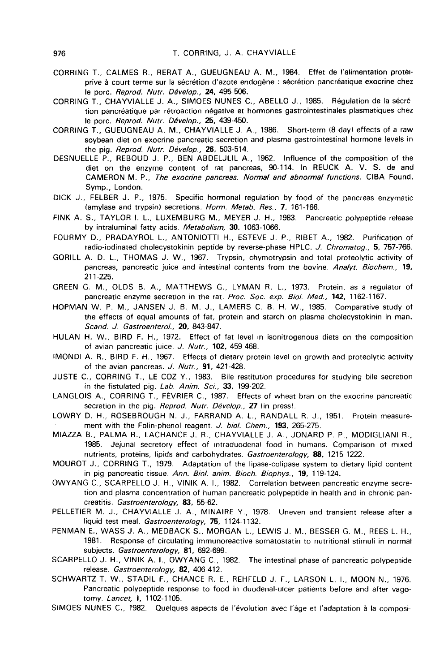- CORRING T., CALMES R., RERAT A., GUEUGNEAU A. M., 1984. Effet de I'alimentation proteiprive à court terme sur la sécrétion d'azote endogène : sécrétion pancréatique exocrine chez le porc. Reprod. Nutr. Dévelop., 24, 495-506.
- CORRING T., CHAYVIALLE J. A., SIMOES NUNES C., ABELLO J., 1985. Régulation de la sécrétion pancréatique par rétroaction négative et hormones gastrointestinales plasmatiques chez le porc. Reprod. Nutr. Dévelop., 25, 439-450.
- CORRING T., GUEUGNEAU A. M., CHAYVIALLE J. A., 1986. Short-term (8 day) effects of a raw soybean diet on exocrine pancreatic secretion and plasma gastrointestinal hormone levels in the pig. Reprod. Nutr. Dévelop., 26, 503-514.
- DESNUELLE P., REBOUD J. P., BEN ABDELJLIL A., 1962. Influence of the composition of the diet on the enzyme content of rat pancreas, 90-114. In REUCK A. V. S. de and CAMERON M. P., The exocrine pancreas. Normal and abnormal functions. CIBA Found. Symp., London.
- DICK J., FELBER J. P., 1975. Specific hormonal regulation by food of the pancreas enzymatic (amylase and trypsin) secretions. Horm. Metab. Res., 7, 161-166.
- FINK A. S., TAYLOR I. L., LUXEMBURG M., MEYER J. H., 1983. Pancreatic polypeptide release by intraluminal fatty acids. Metabolism, 30, 1063-1066.
- FOURMY D., PRADAYROL L., ANTONIOTTI H., ESTEVE J. P., RIBET A., 1982. Purification of radio-iodinated cholecystokinin peptide by reverse-phase HPLC. J. Chromatog., 5, 757-766.
- GORILL A. D. L., THOMAS J. W., 1967. Trypsin, chymotrypsin and total proteolytic activity of pancreas, pancreatic juice and intestinal contents from the bovine. Analyt. Biochem., 19, 211-225.
- GREEN G. M., OLDS B. A., MATTHEWS G., LYMAN R. L., 1973. Protein, as a regulator of pancreatic enzyme secretion in the rat. Proc. Soc. exp. Biol. Med., 142, 1162-1167.
- HOPMAN W. P. M., JANSEN J. B. M. J., LAMERS C. B. H. W., 1985. Comparative study of the effects of equal amounts of fat, protein and starch on plasma cholecystokinin in man. Scand. J. Gastroenterol., 20, 843-847.
- HULAN H. W., BIRD F. H., 1972. Effect of fat level in isonitrogenous diets on the composition of avian pancreatic juice. J. Nutr., 102, 459-468.
- IMONDI A. R., BIRD F. H., 1967. Effects of dietary protein level on growth and proteolytic activity of the avian pancreas. J. Nutr., 91, 421-428.
- JUSTE C., CORRING T., LE COZ Y., 1983. Bile restitution procedures for studying bile secretion in the fistulated pig. Lab. Anim. Sci., 33, 199-202.
- LANGLOIS A., CORRING T., FEVRIER C., 1987. Effects of wheat bran on the exocrine pancreatic secretion in the pig. Reprod. Nutr. Dévelop., 27 (in press).
- LOWRY D. H., ROSEBROUGH N. J., FARRAND A. L., RANDALL R. J., 1951. Protein measurement with the Folin-phenol reagent. J. biol. Chem., 193, 265-275.
- MIAZZA B., PALMA R., LACHANCE J. R., CHAYVIALLE J. A., JONARD P. P., MODIGLIANI R., 1985. Jejunal secretory effect of intraduodenal food in humans. Comparison of mixed nutrients, proteins, lipids and carbohydrates. Gastroenterology, 88, 1215-1222.
- MOUROT J., CORRING T., 1979. Adaptation of the lipase-colipase system to dietary lipid content in pig pancreatic tissue. Ann. Biol. anim. Bioch. Biophys., 19, 119-124.
- OWYANG C., SCARPELLO J. H., VINIK A. 1., 1982. Correlation between pancreatic enzyme secretion and plasma concentration of human pancreatic polypeptide in health and in chronic pancreatitis. Gastroenterology, 83, 55-62.
- PELLETIER M. J., CHAYVIALLE J. A., MINAIRE Y., 1978. Uneven and transient release after a liquid test meal. Gastroenterology, 75, 1124-1132.
- PENMAN E., WASS J. A., MEDBACK S., MORGAN L., LEWIS J. M., BESSER G. M., REES L. H., 1981. Response of circulating immunoreactive somatostatin to nutritional stimuli in normal subjects. Gastroenterology, 81, 692-699.
- SCARPELLO J. H., VINIK A. I., OWYANG C., 1982. The intestinal phase of pancreatic polypeptide release. Gastroenterology, 82, 406-412.
- SCHWARTZ T. W., STADIL F., CHANCE R. E., REHFELD J. F., LARSON L. I., MOON N., 1976. Pancreatic polypeptide response to food in duodenal-ulcer patients before and after vagotomy. Lancet, I, 1102-1105.
- SIMOES NUNES C., 1982. Quelques aspects de l'évolution avec l'âge et l'adaptation à la composi-